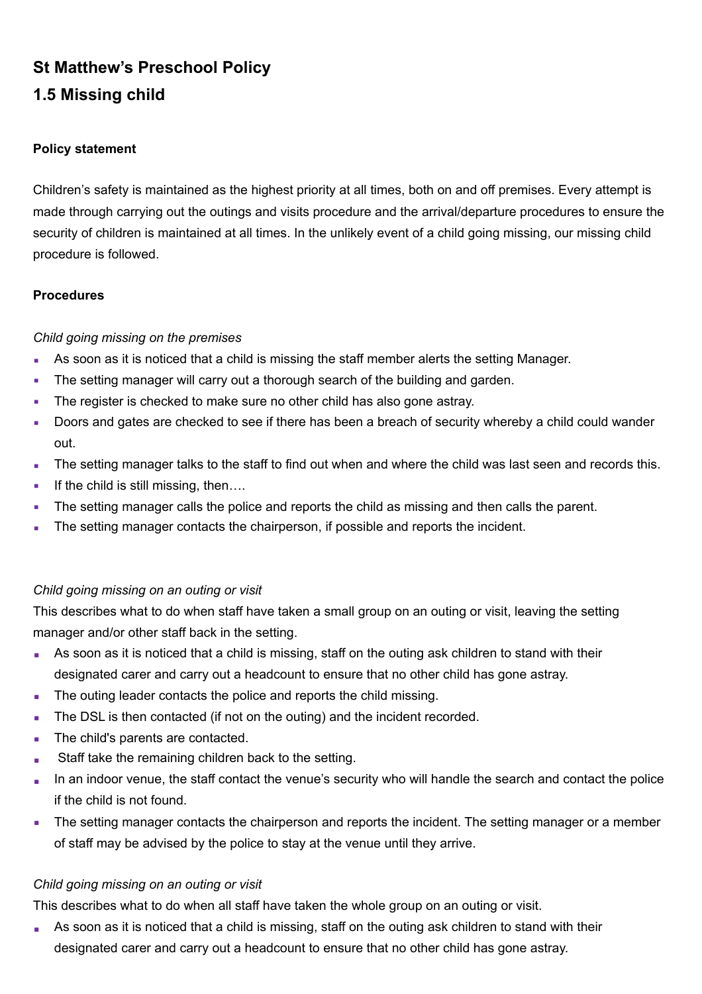# **St Matthew's Preschool Policy 1.5 Missing child**

#### **Policy statement**

Children's safety is maintained as the highest priority at all times, both on and off premises. Every attempt is made through carrying out the outings and visits procedure and the arrival/departure procedures to ensure the security of children is maintained at all times. In the unlikely event of a child going missing, our missing child procedure is followed.

#### **Procedures**

### *Child going missing on the premises*

- **As soon as it is noticed that a child is missing the staff member alerts the setting Manager.**
- **The setting manager will carry out a thorough search of the building and garden.**
- **The register is checked to make sure no other child has also gone astray.**
- Doors and gates are checked to see if there has been a breach of security whereby a child could wander out.
- The setting manager talks to the staff to find out when and where the child was last seen and records this.
- **•** If the child is still missing, then....
- The setting manager calls the police and reports the child as missing and then calls the parent.
- **The setting manager contacts the chairperson, if possible and reports the incident.**

#### *Child going missing on an outing or visit*

This describes what to do when staff have taken a small group on an outing or visit, leaving the setting manager and/or other staff back in the setting.

- As soon as it is noticed that a child is missing, staff on the outing ask children to stand with their designated carer and carry out a headcount to ensure that no other child has gone astray.
- The outing leader contacts the police and reports the child missing.
- The DSL is then contacted (if not on the outing) and the incident recorded.
- The child's parents are contacted.
- Staff take the remaining children back to the setting.
- In an indoor venue, the staff contact the venue's security who will handle the search and contact the police if the child is not found.
- **•** The setting manager contacts the chairperson and reports the incident. The setting manager or a member of staff may be advised by the police to stay at the venue until they arrive.

## *Child going missing on an outing or visit*

This describes what to do when all staff have taken the whole group on an outing or visit.

■ As soon as it is noticed that a child is missing, staff on the outing ask children to stand with their designated carer and carry out a headcount to ensure that no other child has gone astray.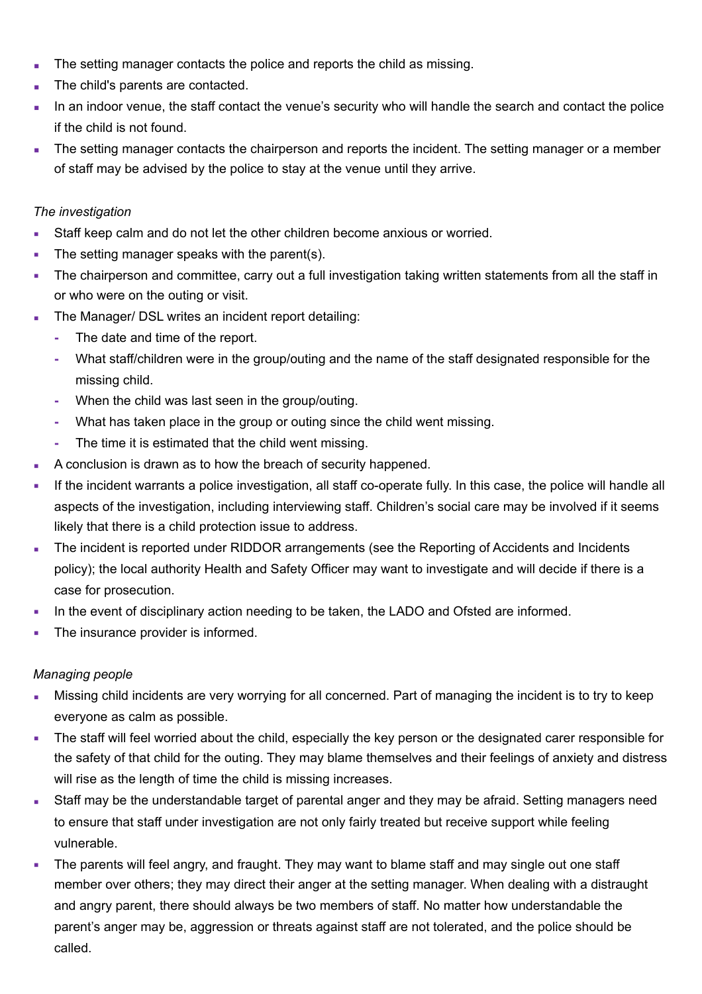- The setting manager contacts the police and reports the child as missing.
- The child's parents are contacted.
- In an indoor venue, the staff contact the venue's security who will handle the search and contact the police if the child is not found.
- The setting manager contacts the chairperson and reports the incident. The setting manager or a member of staff may be advised by the police to stay at the venue until they arrive.

#### *The investigation*

- **EXECT** Staff keep calm and do not let the other children become anxious or worried.
- The setting manager speaks with the parent(s).
- The chairperson and committee, carry out a full investigation taking written statements from all the staff in or who were on the outing or visit.
- The Manager/ DSL writes an incident report detailing:
	- **-** The date and time of the report.
	- **-** What staff/children were in the group/outing and the name of the staff designated responsible for the missing child.
	- **-** When the child was last seen in the group/outing.
	- **-** What has taken place in the group or outing since the child went missing.
	- **-** The time it is estimated that the child went missing.
- A conclusion is drawn as to how the breach of security happened.
- **•** If the incident warrants a police investigation, all staff co-operate fully. In this case, the police will handle all aspects of the investigation, including interviewing staff. Children's social care may be involved if it seems likely that there is a child protection issue to address.
- The incident is reported under RIDDOR arrangements (see the Reporting of Accidents and Incidents policy); the local authority Health and Safety Officer may want to investigate and will decide if there is a case for prosecution.
- In the event of disciplinary action needing to be taken, the LADO and Ofsted are informed.
- The insurance provider is informed.

#### *Managing people*

- Missing child incidents are very worrying for all concerned. Part of managing the incident is to try to keep everyone as calm as possible.
- The staff will feel worried about the child, especially the key person or the designated carer responsible for the safety of that child for the outing. They may blame themselves and their feelings of anxiety and distress will rise as the length of time the child is missing increases.
- Staff may be the understandable target of parental anger and they may be afraid. Setting managers need to ensure that staff under investigation are not only fairly treated but receive support while feeling vulnerable.
- The parents will feel angry, and fraught. They may want to blame staff and may single out one staff member over others; they may direct their anger at the setting manager. When dealing with a distraught and angry parent, there should always be two members of staff. No matter how understandable the parent's anger may be, aggression or threats against staff are not tolerated, and the police should be called.